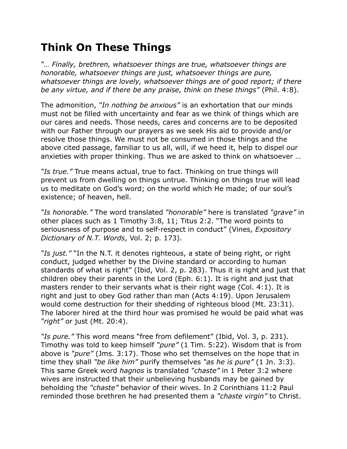## **Think On These Things**

*"… Finally, brethren, whatsoever things are true, whatsoever things are honorable, whatsoever things are just, whatsoever things are pure, whatsoever things are lovely, whatsoever things are of good report; if there be any virtue, and if there be any praise, think on these things"* (Phil. 4:8).

The admonition, *"In nothing be anxious"* is an exhortation that our minds must not be filled with uncertainty and fear as we think of things which are our cares and needs. Those needs, cares and concerns are to be deposited with our Father through our prayers as we seek His aid to provide and/or resolve those things. We must not be consumed in those things and the above cited passage, familiar to us all, will, if we heed it, help to dispel our anxieties with proper thinking. Thus we are asked to think on whatsoever …

*"Is true."* True means actual, true to fact. Thinking on true things will prevent us from dwelling on things untrue. Thinking on things true will lead us to meditate on God's word; on the world which He made; of our soul's existence; of heaven, hell.

*"Is honorable."* The word translated *"honorable"* here is translated *"grave"* in other places such as 1 Timothy 3:8, 11; Titus 2:2. "The word points to seriousness of purpose and to self-respect in conduct" (Vines, *Expository Dictionary of N.T. Words*, Vol. 2; p. 173).

*"Is just."* "In the N.T. it denotes righteous, a state of being right, or right conduct, judged whether by the Divine standard or according to human standards of what is right" (Ibid, Vol. 2, p. 283). Thus it is right and just that children obey their parents in the Lord (Eph. 6:1). It is right and just that masters render to their servants what is their right wage (Col. 4:1). It is right and just to obey God rather than man (Acts 4:19). Upon Jerusalem would come destruction for their shedding of righteous blood (Mt. 23:31). The laborer hired at the third hour was promised he would be paid what was *"right"* or just (Mt. 20:4).

*"Is pure."* This word means "free from defilement" (Ibid, Vol. 3, p. 231). Timothy was told to keep himself *"pure"* (1 Tim. 5:22). Wisdom that is from above is *"pure"* (Jms. 3:17). Those who set themselves on the hope that in time they shall *"be like him"* purify themselves *"as he is pure"* (1 Jn. 3:3). This same Greek word *hagnos* is translated *"chaste"* in 1 Peter 3:2 where wives are instructed that their unbelieving husbands may be gained by beholding the *"chaste"* behavior of their wives. In 2 Corinthians 11:2 Paul reminded those brethren he had presented them a *"chaste virgin"* to Christ.